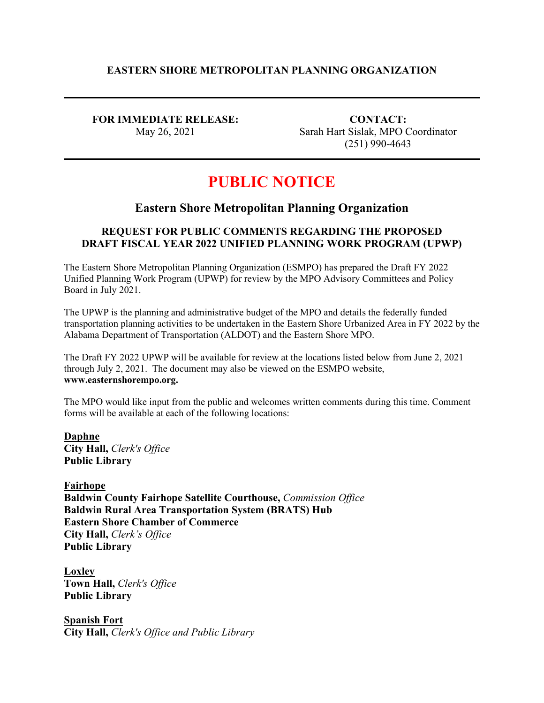### **EASTERN SHORE METROPOLITAN PLANNING ORGANIZATION**

**FOR IMMEDIATE RELEASE:** May 26, 2021

**CONTACT:** Sarah Hart Sislak, MPO Coordinator (251) 990-4643

# **PUBLIC NOTICE**

# **Eastern Shore Metropolitan Planning Organization**

## **REQUEST FOR PUBLIC COMMENTS REGARDING THE PROPOSED DRAFT FISCAL YEAR 2022 UNIFIED PLANNING WORK PROGRAM (UPWP)**

The Eastern Shore Metropolitan Planning Organization (ESMPO) has prepared the Draft FY 2022 Unified Planning Work Program (UPWP) for review by the MPO Advisory Committees and Policy Board in July 2021.

The UPWP is the planning and administrative budget of the MPO and details the federally funded transportation planning activities to be undertaken in the Eastern Shore Urbanized Area in FY 2022 by the Alabama Department of Transportation (ALDOT) and the Eastern Shore MPO.

The Draft FY 2022 UPWP will be available for review at the locations listed below from June 2, 2021 through July 2, 2021. The document may also be viewed on the ESMPO website, **www.easternshorempo.org.**

The MPO would like input from the public and welcomes written comments during this time. Comment forms will be available at each of the following locations:

**Daphne City Hall,** *Clerk's Office* **Public Library**

**Fairhope Baldwin County Fairhope Satellite Courthouse,** *Commission Office* **Baldwin Rural Area Transportation System (BRATS) Hub Eastern Shore Chamber of Commerce City Hall,** *Clerk's Office* **Public Library**

**Loxley Town Hall,** *Clerk's Office* **Public Library**

**Spanish Fort City Hall,** *Clerk's Office and Public Library*